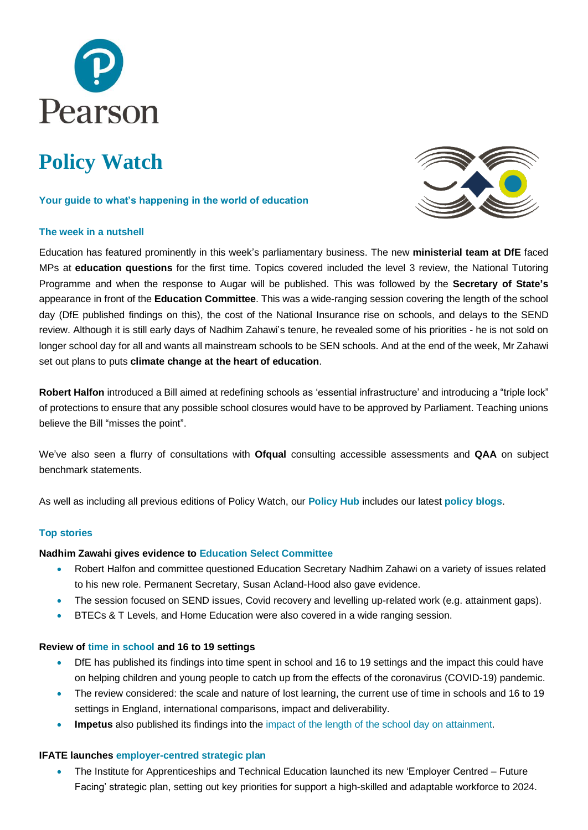

# **Policy Watch**

## **Your guide to what's happening in the world of education**

# **The week in a nutshell**



Education has featured prominently in this week's parliamentary business. The new **ministerial team at DfE** faced MPs at **education questions** for the first time. Topics covered included the level 3 review, the National Tutoring Programme and when the response to Augar will be published. This was followed by the **Secretary of State's** appearance in front of the **Education Committee**. This was a wide-ranging session covering the length of the school day (DfE published findings on this), the cost of the National Insurance rise on schools, and delays to the SEND review. Although it is still early days of Nadhim Zahawi's tenure, he revealed some of his priorities - he is not sold on longer school day for all and wants all mainstream schools to be SEN schools. And at the end of the week, Mr Zahawi set out plans to puts **climate change at the heart of education**.

**Robert Halfon** introduced a Bill aimed at redefining schools as 'essential infrastructure' and introducing a "triple lock" of protections to ensure that any possible school closures would have to be approved by Parliament. Teaching unions believe the Bill "misses the point".

We've also seen a flurry of consultations with **Ofqual** consulting accessible assessments and **QAA** on subject benchmark statements.

As well as including all previous editions of Policy Watch, our **[Policy Hub](https://www.pearson.com/uk/news-and-policy.html)** includes our latest **[policy blogs](https://www.pearson.com/uk/news-and-policy/blogs.html)**.

## **Top stories**

## **Nadhim Zawahi gives evidence to [Education Select Committee](https://committees.parliament.uk/event/6137/formal-meeting-oral-evidence-session/)**

- Robert Halfon and committee questioned Education Secretary Nadhim Zahawi on a variety of issues related to his new role. Permanent Secretary, Susan Acland-Hood also gave evidence.
- The session focused on SEND issues, Covid recovery and levelling up-related work (e.g. attainment gaps).
- BTECs & T Levels, and Home Education were also covered in a wide ranging session.

## **Review of [time in school](https://assets.publishing.service.gov.uk/government/uploads/system/uploads/attachment_data/file/1031290/Review_of_time_in_school_and_16_to_19_settings.pdf) and 16 to 19 settings**

- DfE has published its findings into time spent in school and 16 to 19 settings and the impact this could have on helping children and young people to catch up from the effects of the coronavirus (COVID-19) pandemic.
- The review considered: the scale and nature of lost learning, the current use of time in schools and 16 to 19 settings in England, international comparisons, impact and deliverability.
- **Impetus** also published its findings into the [impact of the length of the school day on attainment.](https://www.impetus.org.uk/assets/publications/Impetus-Time-Well-Spent-report-FINAL.pdf)

## **IFATE launches [employer-centred strategic plan](https://www.instituteforapprenticeships.org/about/newshub/news-events/institute-unveils-plan-for-world-class-and-unified-skills-system/)**

• The Institute for Apprenticeships and Technical Education launched its new 'Employer Centred – Future Facing' strategic plan, setting out key priorities for support a high-skilled and adaptable workforce to 2024.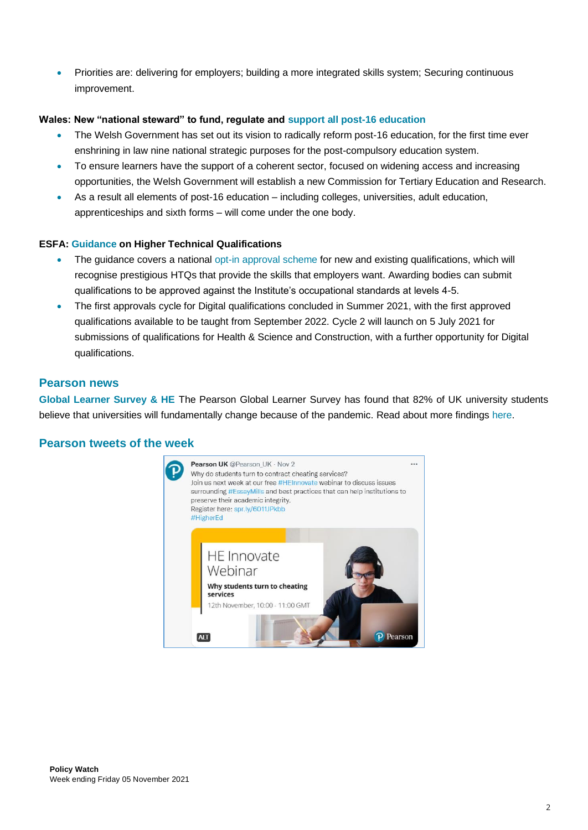• Priorities are: delivering for employers; building a more integrated skills system; Securing continuous improvement.

# **Wales: New "national steward" to fund, regulate and [support all post-16 education](https://gov.wales/wales-have-new-national-steward-fund-regulate-and-support-all-post-16-education)**

- The Welsh Government has set out its vision to radically reform post-16 education, for the first time ever enshrining in law nine national strategic purposes for the post-compulsory education system.
- To ensure learners have the support of a coherent sector, focused on widening access and increasing opportunities, the Welsh Government will establish a new Commission for Tertiary Education and Research.
- As a result all elements of post-16 education including colleges, universities, adult education, apprenticeships and sixth forms – will come under the one body.

# **ESFA: [Guidance](https://www.gov.uk/guidance/htqs) on Higher Technical Qualifications**

- The guidance covers a national [opt-in approval scheme](https://www.instituteforapprenticeships.org/higher-technical-qualifications/approvals-process-and-timelines/) for new and existing qualifications, which will recognise prestigious HTQs that provide the skills that employers want. Awarding bodies can submit qualifications to be approved against the Institute's occupational standards at levels 4-5.
- The first approvals cycle for Digital qualifications concluded in Summer 2021, with the first approved qualifications available to be taught from September 2022. Cycle 2 will launch on 5 July 2021 for submissions of qualifications for Health & Science and Construction, with a further opportunity for Digital qualifications.

# **Pearson news**

**[Global Learner Survey & HE](https://www.pearson.com/uk/educators/higher-education-educators/course-development-blog/2021/10/students-expect-fundamental-change-in-university-education-becau.html)** The Pearson Global Learner Survey has found that 82% of UK university students believe that universities will fundamentally change because of the pandemic. Read about more findings [here.](https://www.pearson.com/uk/educators/higher-education-educators/course-development-blog/2021/10/students-expect-fundamental-change-in-university-education-becau.html)

# **Pearson tweets of the week**

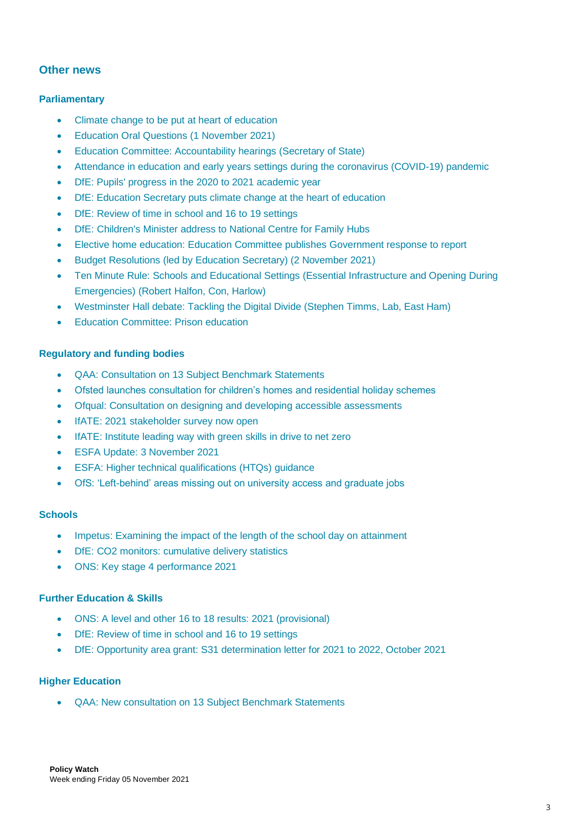# **Other news**

# **Parliamentary**

- Climate change to be put at heart of [education](https://www.gov.uk/government/news/education-secretary-puts-climate-change-at-the-heart-of-education--2)
- [Education Oral Questions \(1 November 2021\)](https://hansard.parliament.uk/commons/2021-11-01/debates/1D49C257-F0DB-4054-8D6A-9DEC888CDE27/OralAnswersToQuestions)
- [Education Committee: Accountability hearings \(Secretary of State\)](https://committees.parliament.uk/event/6137/formal-meeting-oral-evidence-session/)
- [Attendance in education and early years settings during the coronavirus \(COVID-19\) pandemic](https://www.gov.uk/government/collections/attendance-in-education-and-early-years-settings-during-the-coronavirus-covid-19-outbreak)
- [DfE: Pupils' progress in the 2020 to 2021 academic year](https://www.gov.uk/government/publications/pupils-progress-in-the-2020-to-2021-academic-year-interim-report)
- [DfE: Education Secretary puts climate change at the heart of education](https://www.gov.uk/government/news/education-secretary-puts-climate-change-at-the-heart-of-education--2)
- [DfE: Review of time in school and 16 to 19 settings](https://www.gov.uk/government/publications/review-of-time-in-school-and-16-to-19-settings?utm_medium=email&utm_campaign=govuk-notifications&utm_source=4589d61a-3484-43a4-9101-3440d8bd1540&utm_content=immediately)
- [DfE: Children's Minister address to National Centre for Family Hubs](https://www.gov.uk/government/speeches/childrens-minister-address-to-national-centre-for-family-hubs)
- [Elective home education: Education Committee publishes Government response to report](file:///C:/Users/tom.hunter/Documents/Client%20Research/Pearson/Weekly%20Roundups/Elective%20home%20education:%20Education%20Committee%20publishes%20Government%20response%20to%20report)
- [Budget Resolutions \(led by Education Secretary\) \(2 November 2021\)](https://hansard.parliament.uk/commons/2021-11-02/debates/D7226608-7FEC-48EA-B4C8-5F4486A89BAA/BudgetResolutions)
- Ten Minute Rule: Schools and Educational Settings (Essential [Infrastructure](https://hansard.parliament.uk/commons/2021-11-03/debates/9987D24F-415E-479E-8A91-88B8EE1149CC/SchoolsAndEducationalSettings(EssentialInfrastructureAndOpeningDuringEmergencies)) and Opening During [Emergencies\)](https://hansard.parliament.uk/commons/2021-11-03/debates/9987D24F-415E-479E-8A91-88B8EE1149CC/SchoolsAndEducationalSettings(EssentialInfrastructureAndOpeningDuringEmergencies)) (Robert Halfon, Con, Harlow)
- [Westminster Hall debate: Tackling the Digital Divide \(Stephen Timms, Lab, East Ham\)](https://hansard.parliament.uk/commons/2021-11-04/debates/296B9076-A3B9-4ECA-B0FF-2EE16F46A600/TacklingTheDigitalDivide)
- [Education Committee: Prison education](https://committees.parliament.uk/event/6136/formal-meeting-oral-evidence-session/)

# **Regulatory and funding bodies**

- [QAA: Consultation on 13 Subject Benchmark Statements](https://www.qaa.ac.uk/news-events/news/consultation-on-13-subject-benchmark-statements)
- [Ofsted launches consultation for children's homes and residential holiday schemes](file:///C:/Users/UPEDLDA/AppData/Local/Microsoft/Windows/INetCache/Content.Outlook/VRYAASCG/Ofsted%20launches%20consultation%20for%20children’s%20homes%20and%20residential%20holiday%20schemes)
- [Ofqual: Consultation on designing and developing accessible assessments](file:///C:/Users/UPEDLDA/AppData/Local/Microsoft/Windows/INetCache/Content.Outlook/VRYAASCG/Consultation%20on%20designing%20and%20developing%20accessible%20assessments)
- IfATE: 2021 [stakeholder survey now open](https://www.instituteforapprenticeships.org/about/newshub/news-events/have-your-say-our-2021-stakeholder-survey-is-now-open/)
- [IfATE: Institute leading way with green skills in drive to net zero](https://www.instituteforapprenticeships.org/about/newshub/news-events/institute-leading-way-with-green-skills-in-drive-to-net-zero/)
- [ESFA Update: 3 November 2021](https://www.gov.uk/government/publications/esfa-update-3-november-2021)
- [ESFA: Higher technical qualifications \(HTQs\) guidance](https://www.gov.uk/guidance/htqs)
- [OfS: 'Left-behind' areas missing out on university access and graduate jobs](https://www.officeforstudents.org.uk/news-blog-and-events/press-and-media/left-behind-areas-missing-out-on-university-access-and-graduate-jobs/)

## **Schools**

- Impetus: [Examining the impact of the length of the school day on attainment](https://www.impetus.org.uk/assets/publications/Impetus-Time-Well-Spent-report-FINAL.pdf)
- DfE: CO2 monitors: [cumulative](https://explore-education-statistics.service.gov.uk/find-statistics/co2-monitors-cumulative-delivery-statistics) delivery statistics
- ONS: [Key stage 4 performance 2021](https://www.gov.uk/government/statistics/key-stage-4-performance-2021?utm_medium=email&utm_campaign=govuk-notifications&utm_source=9b5a9422-ec2a-4d5f-8b94-5fba96f95e64&utm_content=immediately)

# **Further Education & Skills**

- [ONS: A level and other 16 to 18 results: 2021 \(provisional\)](https://www.gov.uk/government/statistics/a-level-and-other-16-to-18-results-2021-provisional?utm_medium=email&utm_campaign=govuk-notifications&utm_source=176d0d12-5fca-4af2-95c9-cea18ea8caf9&utm_content=immediately)
- [DfE: Review of time in school and 16 to 19 settings](https://www.gov.uk/government/publications/review-of-time-in-school-and-16-to-19-settings?utm_medium=email&utm_campaign=govuk-notifications&utm_source=4589d61a-3484-43a4-9101-3440d8bd1540&utm_content=immediately)
- [DfE: Opportunity area grant: S31 determination letter for 2021 to 2022, October 2021](https://assets.publishing.service.gov.uk/government/uploads/system/uploads/attachment_data/file/1031230/Oct_2021_Grant_determination_and_letter_to_local_authorities.pdf)

# **Higher Education**

• [QAA: New consultation on 13 Subject Benchmark Statements](https://www.qaa.ac.uk/news-events/news/consultation-on-13-subject-benchmark-statements)